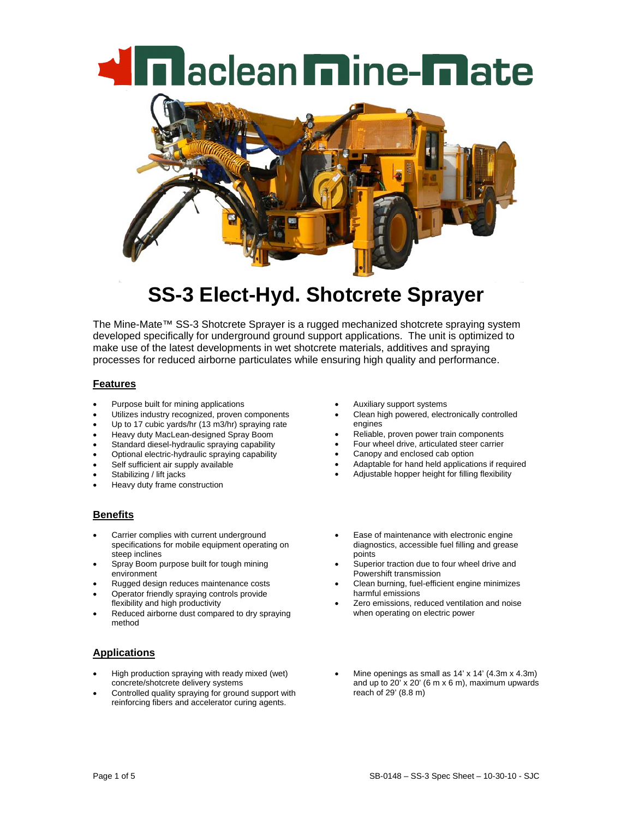**In aclean mine-mate** 



# **SS-3 Elect-Hyd. Shotcrete Sprayer**

The Mine-Mate™ SS-3 Shotcrete Sprayer is a rugged mechanized shotcrete spraying system developed specifically for underground ground support applications. The unit is optimized to make use of the latest developments in wet shotcrete materials, additives and spraying processes for reduced airborne particulates while ensuring high quality and performance.

#### **Features**

- Purpose built for mining applications
- Utilizes industry recognized, proven components
- Up to 17 cubic yards/hr (13 m3/hr) spraying rate
- Heavy duty MacLean-designed Spray Boom
- Standard diesel-hydraulic spraying capability
- Optional electric-hydraulic spraying capability
- Self sufficient air supply available
- Stabilizing / lift jacks
- Heavy duty frame construction

#### **Benefits**

- Carrier complies with current underground specifications for mobile equipment operating on steep inclines
- Spray Boom purpose built for tough mining environment
- Rugged design reduces maintenance costs
- Operator friendly spraying controls provide flexibility and high productivity
- Reduced airborne dust compared to dry spraying method

### **Applications**

- High production spraying with ready mixed (wet) concrete/shotcrete delivery systems
- Controlled quality spraying for ground support with reinforcing fibers and accelerator curing agents.
- Auxiliary support systems
- Clean high powered, electronically controlled engines
- Reliable, proven power train components
- Four wheel drive, articulated steer carrier
- Canopy and enclosed cab option
- Adaptable for hand held applications if required
- Adjustable hopper height for filling flexibility
- Ease of maintenance with electronic engine diagnostics, accessible fuel filling and grease points
- Superior traction due to four wheel drive and Powershift transmission
- Clean burning, fuel-efficient engine minimizes harmful emissions
- Zero emissions, reduced ventilation and noise when operating on electric power
- Mine openings as small as  $14' \times 14'$  (4.3m  $\times$  4.3m) and up to  $20'$  x  $20'$  (6 m x 6 m), maximum upwards reach of 29' (8.8 m)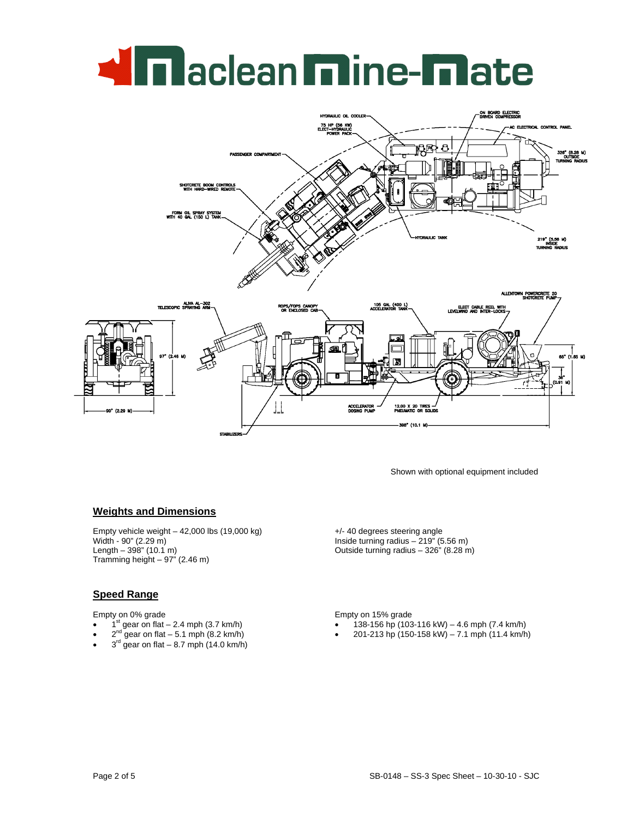# **Miniaclean mine-mate**



Shown with optional equipment included

### **Weights and Dimensions**

Empty vehicle weight – 42,000 lbs (19,000 kg) Width - 90" (2.29 m) Length –  $398$ " (10.1 m) Tramming height  $-97$ " (2.46 m)

#### **Speed Range**

Empty on 0% grade

- $1<sup>st</sup>$  gear on flat 2.4 mph (3.7 km/h)
- $2^{nd}$  gear on flat 5.1 mph (8.2 km/h)
- $3<sup>rd</sup>$  gear on flat 8.7 mph (14.0 km/h)

+/- 40 degrees steering angle Inside turning radius – 219" (5.56 m) Outside turning radius – 326" (8.28 m)

Empty on 15% grade

- 138-156 hp (103-116 kW) 4.6 mph (7.4 km/h)
- 201-213 hp (150-158 kW) 7.1 mph (11.4 km/h)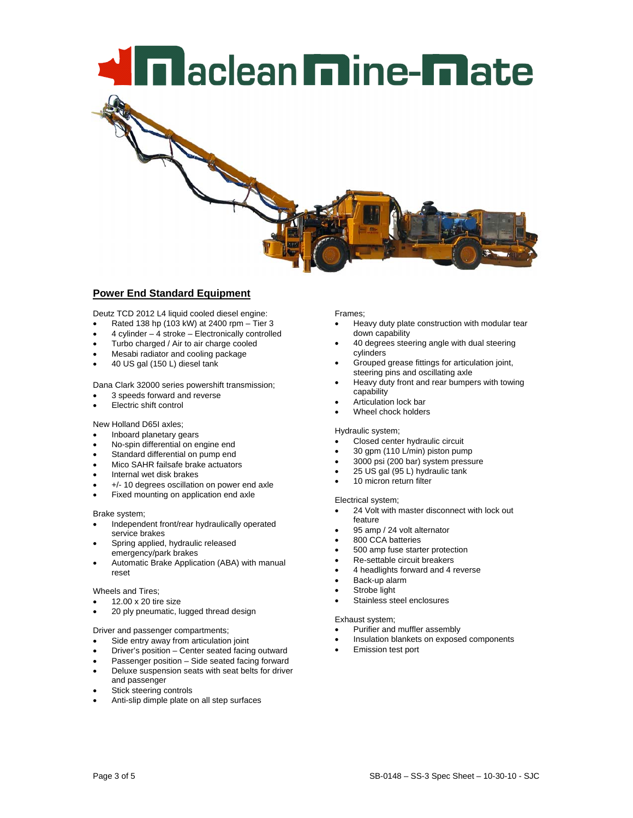# **Mini**aclean **m**ine-**m**ate

## **Power End Standard Equipment**

Deutz TCD 2012 L4 liquid cooled diesel engine:

- Rated 138 hp (103 kW) at 2400 rpm Tier 3
- 4 cylinder 4 stroke Electronically controlled
- Turbo charged / Air to air charge cooled
- Mesabi radiator and cooling package
- 40 US gal (150 L) diesel tank

Dana Clark 32000 series powershift transmission;

- 3 speeds forward and reverse
- **Electric shift control**

New Holland D65I axles;

- Inboard planetary gears
- No-spin differential on engine end
- Standard differential on pump end
- Mico SAHR failsafe brake actuators
- Internal wet disk brakes
- +/- 10 degrees oscillation on power end axle
- Fixed mounting on application end axle

#### Brake system;

- Independent front/rear hydraulically operated service brakes
- Spring applied, hydraulic released emergency/park brakes
- Automatic Brake Application (ABA) with manual reset

#### Wheels and Tires;

- 12.00 x 20 tire size
- 20 ply pneumatic, lugged thread design

#### Driver and passenger compartments;

- Side entry away from articulation joint
- Driver's position Center seated facing outward
- Passenger position Side seated facing forward
- Deluxe suspension seats with seat belts for driver and passenger
- Stick steering controls
- Anti-slip dimple plate on all step surfaces

Frames;

- Heavy duty plate construction with modular tear down capability
- 40 degrees steering angle with dual steering cylinders
- Grouped grease fittings for articulation joint, steering pins and oscillating axle
- Heavy duty front and rear bumpers with towing capability
- Articulation lock bar
- Wheel chock holders

#### Hydraulic system;

- Closed center hydraulic circuit
- 30 gpm (110 L/min) piston pump
- 3000 psi (200 bar) system pressure
- 25 US gal (95 L) hydraulic tank
- 10 micron return filter

#### Electrical system;

- 24 Volt with master disconnect with lock out feature
- 95 amp / 24 volt alternator
- 800 CCA batteries
- 500 amp fuse starter protection
- Re-settable circuit breakers
- 4 headlights forward and 4 reverse
- Back-up alarm
- Strobe light
- Stainless steel enclosures

#### Exhaust system;

- Purifier and muffler assembly
- Insulation blankets on exposed components
- Emission test port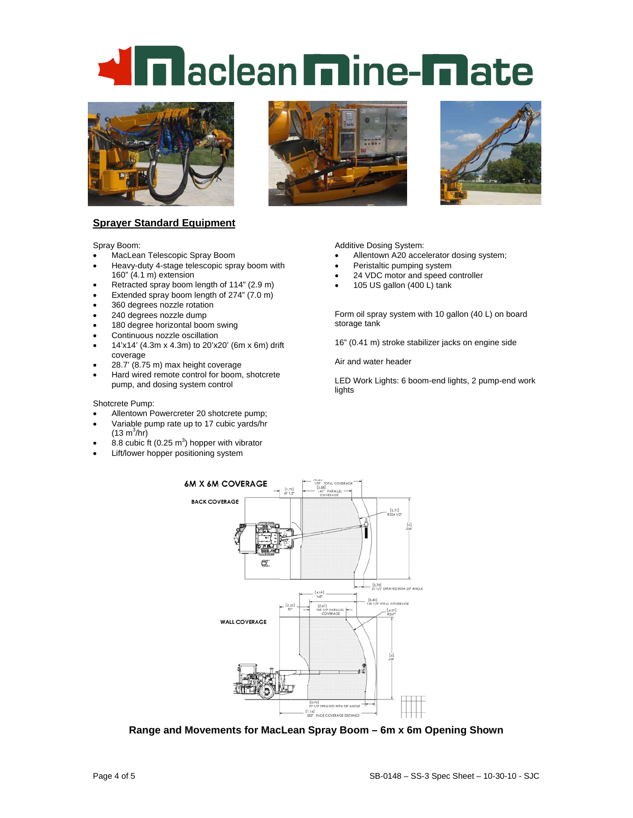# **n** aclean **m**ine-**mate**



#### **Sprayer Standard Equipment**

Spray Boom:

- MacLean Telescopic Spray Boom
- Heavy-duty 4-stage telescopic spray boom with 160" (4.1 m) extension
- Retracted spray boom length of 114" (2.9 m)
- Extended spray boom length of 274" (7.0 m)
- 360 degrees nozzle rotation
- 240 degrees nozzle dump
- 180 degree horizontal boom swing
- Continuous nozzle oscillation
- 14'x14' (4.3m x 4.3m) to 20'x20' (6m x 6m) drift coverage
- 28.7' (8.75 m) max height coverage
- Hard wired remote control for boom, shotcrete pump, and dosing system control

#### Shotcrete Pump:

- Allentown Powercreter 20 shotcrete pump;
- Variable pump rate up to 17 cubic yards/hr  $(13 \text{ m}^3/\text{hr})$
- 8.8 cubic ft  $(0.25 \text{ m}^3)$  hopper with vibrator
- Lift/lower hopper positioning system





Additive Dosing System:

- Allentown A20 accelerator dosing system;
- Peristaltic pumping system
- 24 VDC motor and speed controller
- 105 US gallon (400 L) tank

Form oil spray system with 10 gallon (40 L) on board storage tank

16" (0.41 m) stroke stabilizer jacks on engine side

Air and water header

LED Work Lights: 6 boom-end lights, 2 pump-end work lights



**Range and Movements for MacLean Spray Boom – 6m x 6m Opening Shown**